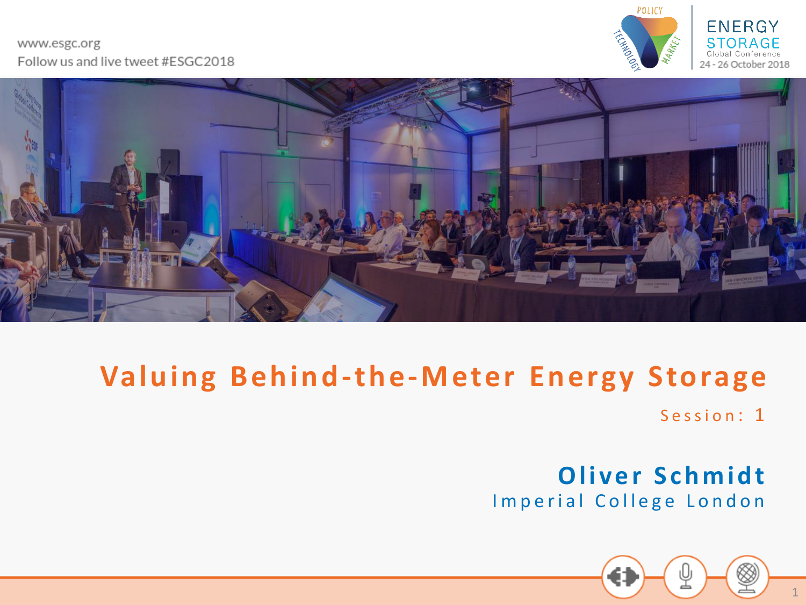#### www.esgc.org Follow us and live tweet #ESGC2018







#### **Valuing Behind-the-Meter Energy Storage**

Session: 1

**Oliver Schmidt** Imperial College London

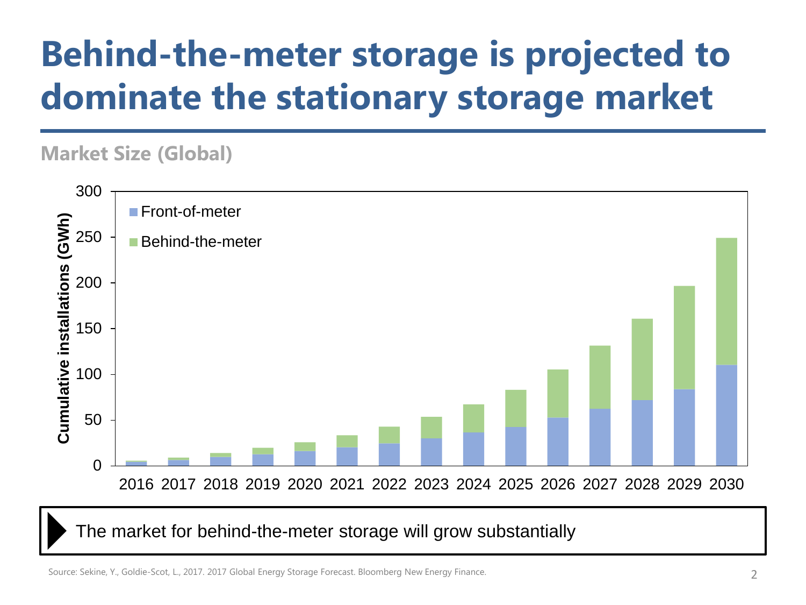# **Behind-the-meter storage is projected to dominate the stationary storage market**

#### **Market Size (Global)**



The market for behind-the-meter storage will grow substantially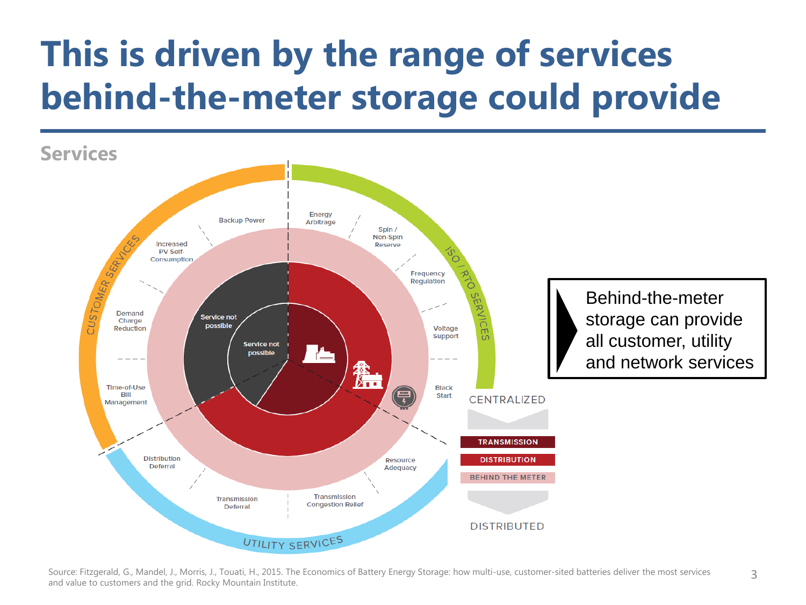# **This is driven by the range of services behind-the-meter storage could provide**



Source: Fitzgerald, G., Mandel, J., Morris, J., Touati, H., 2015. The Economics of Battery Energy Storage: how multi-use, customer-sited batteries deliver the most services and value to customers and the grid. Rocky Mountain Institute.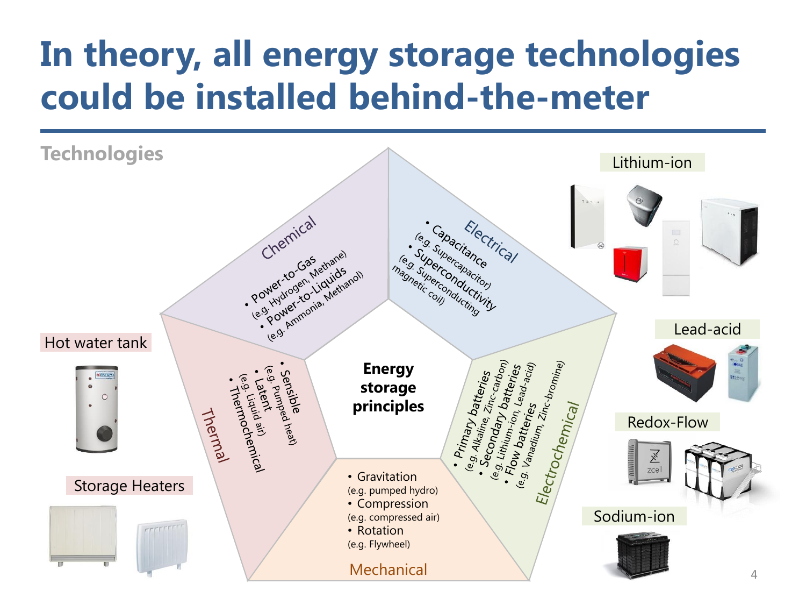# **In theory, all energy storage technologies could be installed behind-the-meter**

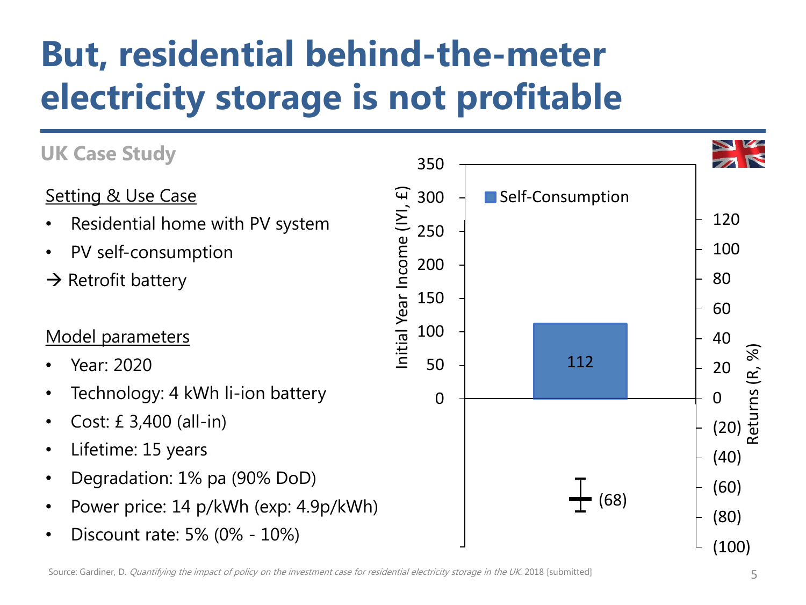# **But, residential behind-the-meter electricity storage is not profitable**

#### **UK Case Study**  350 Initial Year Income (IYI, £) Setting & Use Case nitial Year Income (IYI, £) 300 Self-Consumption 120 • Residential home with PV system 250 • PV self-consumption 100 200  $\rightarrow$  Retrofit battery 80 150 60 100 Model parameters 40 (R, %) Returns (R, %) 112 • Year: 2020 50 20 eturns • Technology: 4 kWh li-ion battery  $\Omega$ 0 • Cost: £ 3,400 (all-in) (20) • Lifetime: 15 years (40) • Degradation: 1% pa (90% DoD) (60) (68) • Power price: 14 p/kWh (exp: 4.9p/kWh) (80) • Discount rate: 5% (0% - 10%) (100)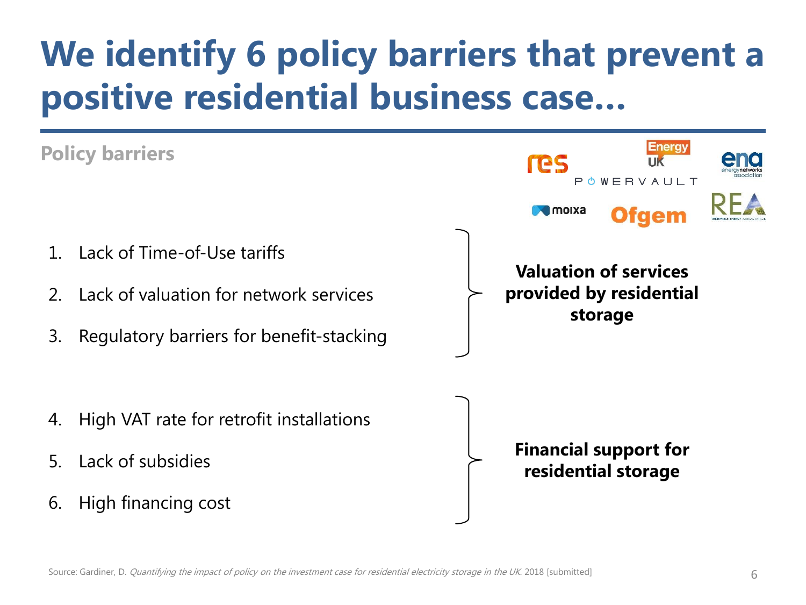# **We identify 6 policy barriers that prevent a positive residential business case…**

#### **Energy Policy barriers** res POWERVAULT **I** moixa Ofaem 1. Lack of Time-of-Use tariffs **Valuation of services provided by residential**  2. Lack of valuation for network services **storage** 3. Regulatory barriers for benefit-stacking 4. High VAT rate for retrofit installations **Financial support for**  5. Lack of subsidies **residential storage**6. High financing cost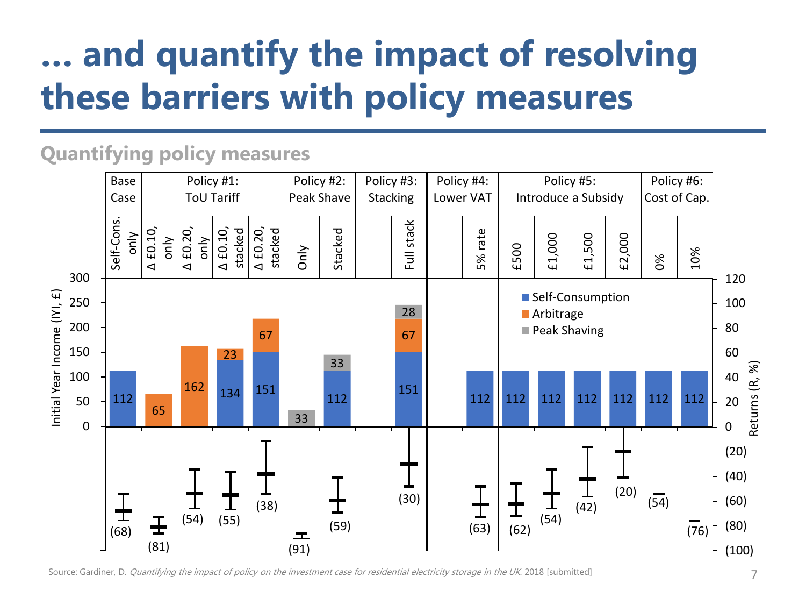# **… and quantify the impact of resolving these barriers with policy measures**

#### **Quantifying policy measures**



Source: Gardiner, D. Quantifying the impact of policy on the investment case for residential electricity storage in the UK. 2018 [submitted]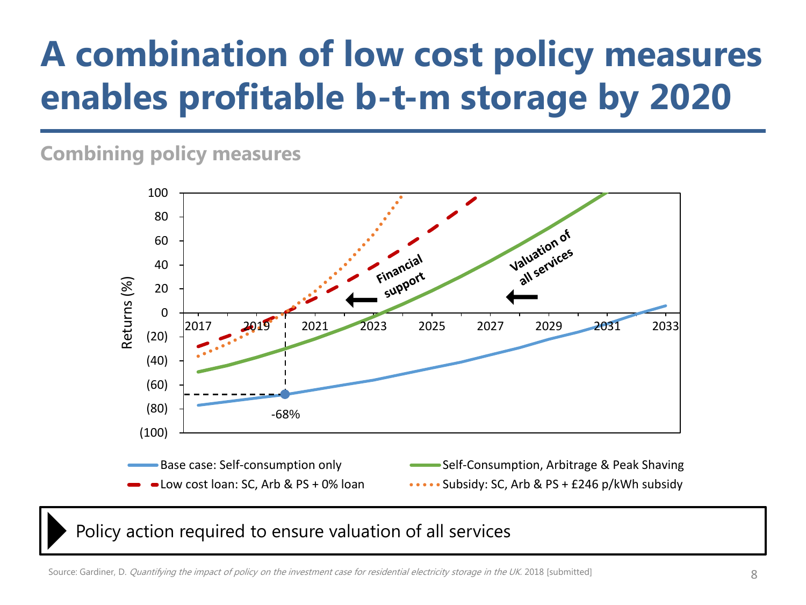# **A combination of low cost policy measures enables profitable b-t-m storage by 2020**

#### **Combining policy measures**



Policy action required to ensure valuation of all services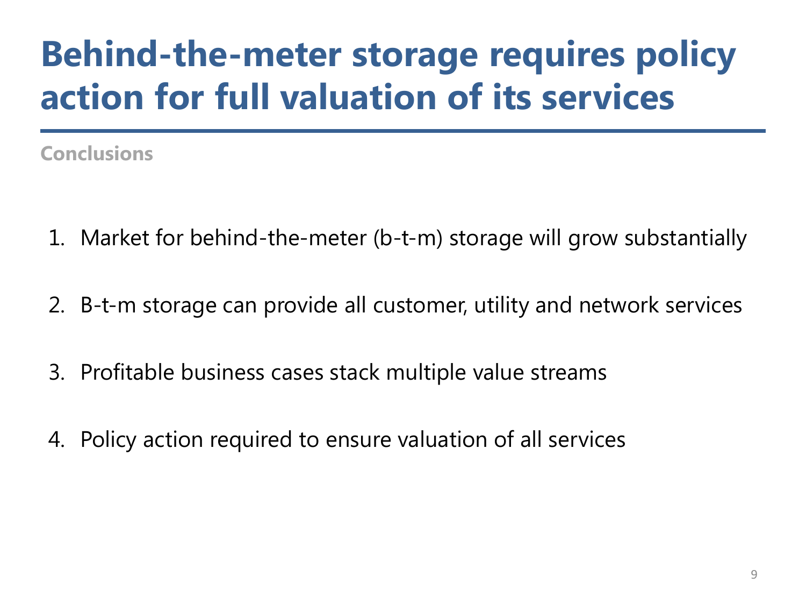# **Behind-the-meter storage requires policy action for full valuation of its services**

**Conclusions**

- 1. Market for behind-the-meter (b-t-m) storage will grow substantially
- 2. B-t-m storage can provide all customer, utility and network services
- 3. Profitable business cases stack multiple value streams
- 4. Policy action required to ensure valuation of all services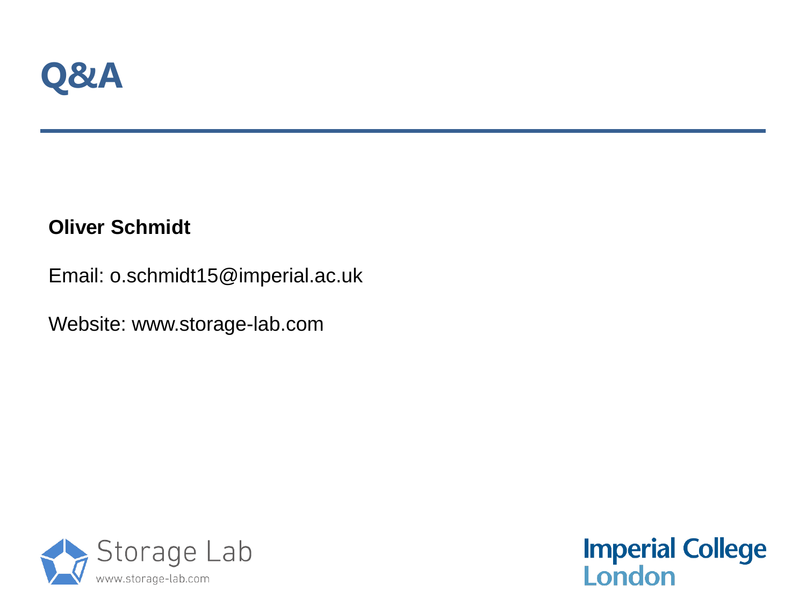

#### **Oliver Schmidt**

Email: o.schmidt15@imperial.ac.uk

Website: www.storage-lab.com



**Imperial College<br>London**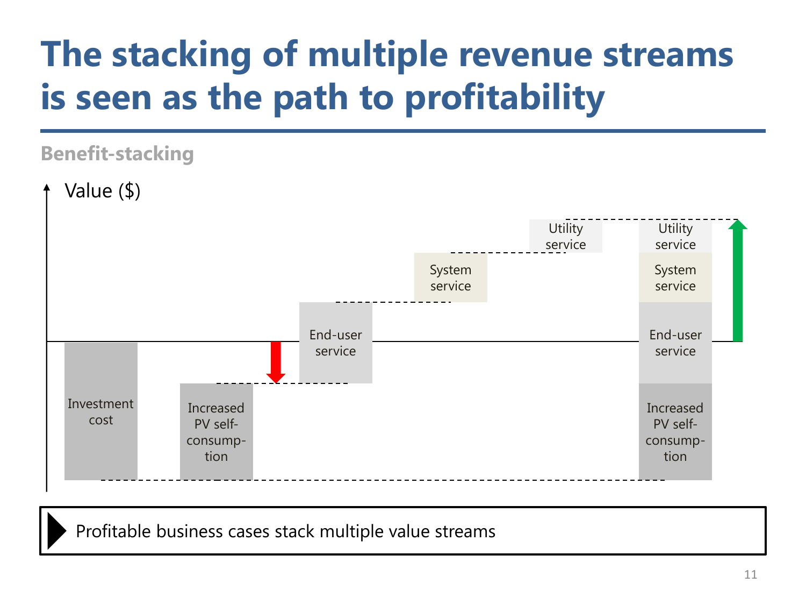# **The stacking of multiple revenue streams is seen as the path to profitability**

#### **Benefit-stacking**



Profitable business cases stack multiple value streams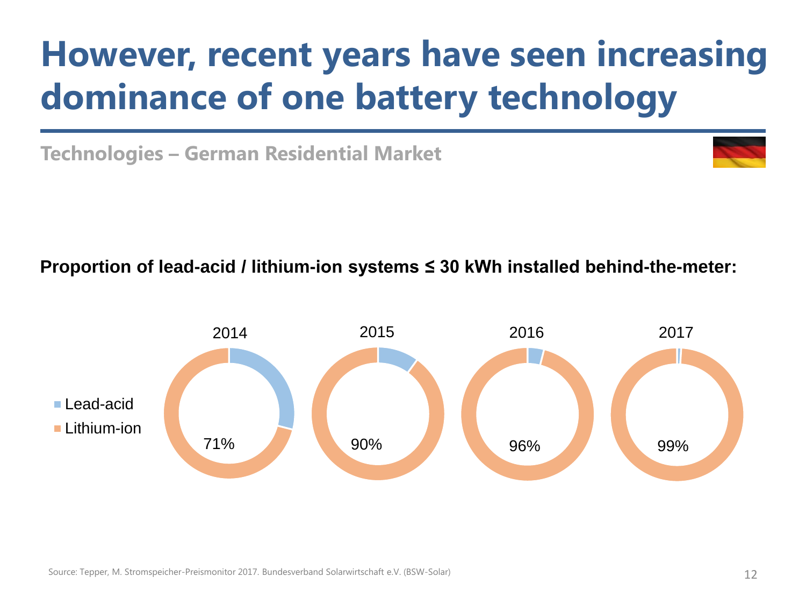# **However, recent years have seen increasing dominance of one battery technology**

**Technologies – German Residential Market**



**Proportion of lead-acid / lithium-ion systems ≤ 30 kWh installed behind-the-meter:**

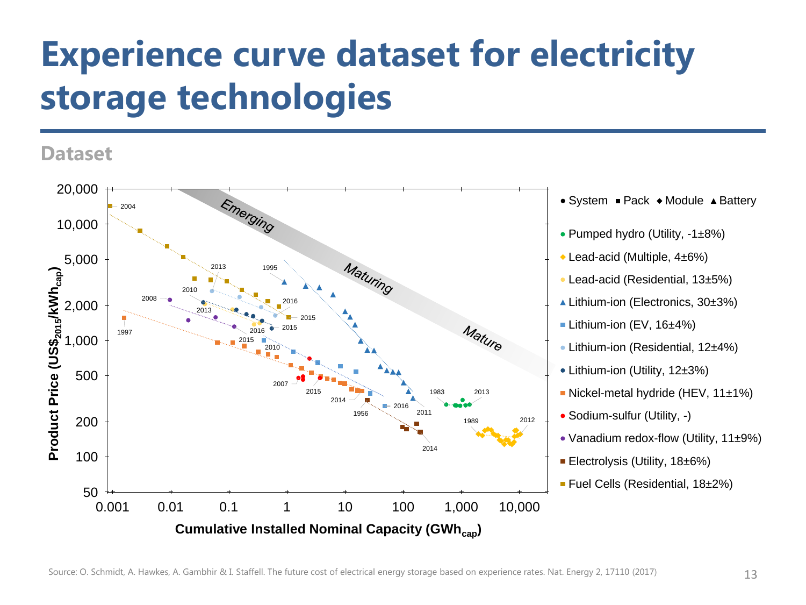# **Experience curve dataset for electricity storage technologies**

#### **Dataset**

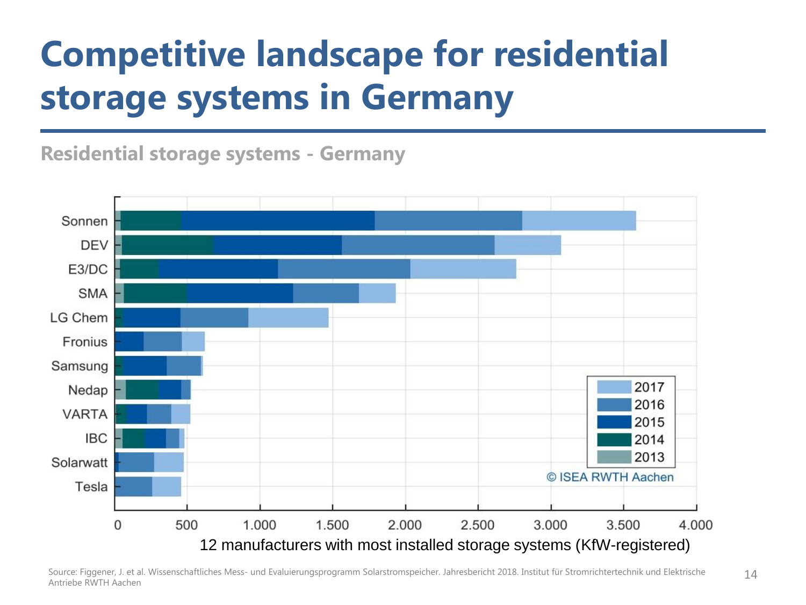# **Competitive landscape for residential storage systems in Germany**

**Residential storage systems - Germany**

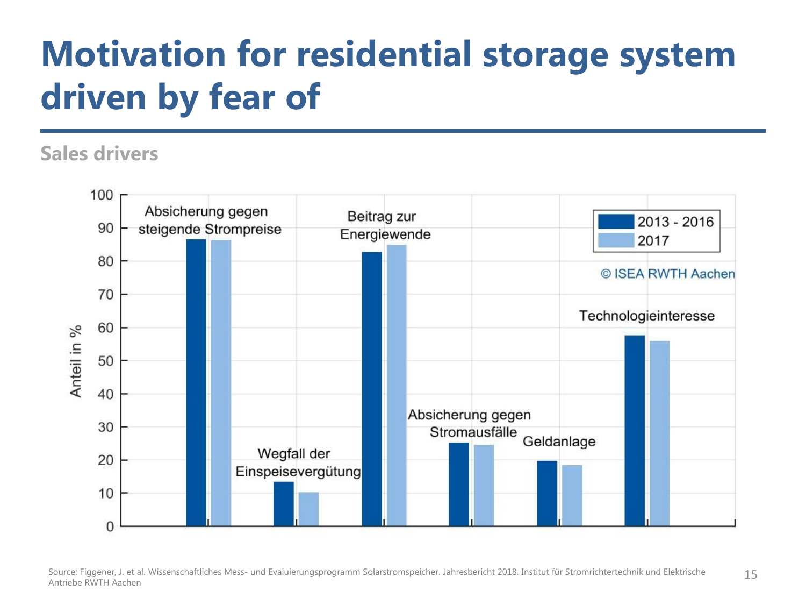### **Motivation for residential storage system driven by fear of**

#### **Sales drivers**



Source: Figgener, J. et al. Wissenschaftliches Mess- und Evaluierungsprogramm Solarstromspeicher. Jahresbericht 2018. Institut für Stromrichtertechnik und Elektrische 15 Antriebe RWTH Aachen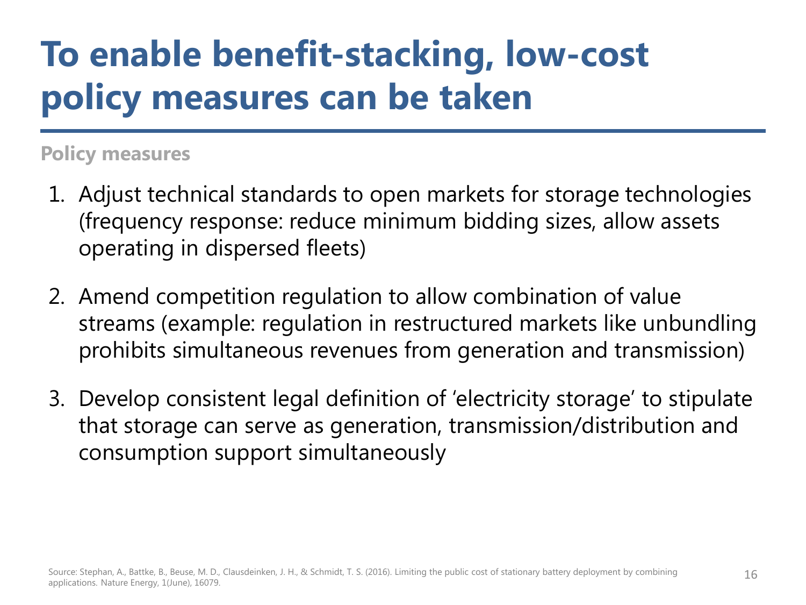# **To enable benefit-stacking, low-cost policy measures can be taken**

#### **Policy measures**

- 1. Adjust technical standards to open markets for storage technologies (frequency response: reduce minimum bidding sizes, allow assets operating in dispersed fleets)
- 2. Amend competition regulation to allow combination of value streams (example: regulation in restructured markets like unbundling prohibits simultaneous revenues from generation and transmission)
- 3. Develop consistent legal definition of 'electricity storage' to stipulate that storage can serve as generation, transmission/distribution and consumption support simultaneously